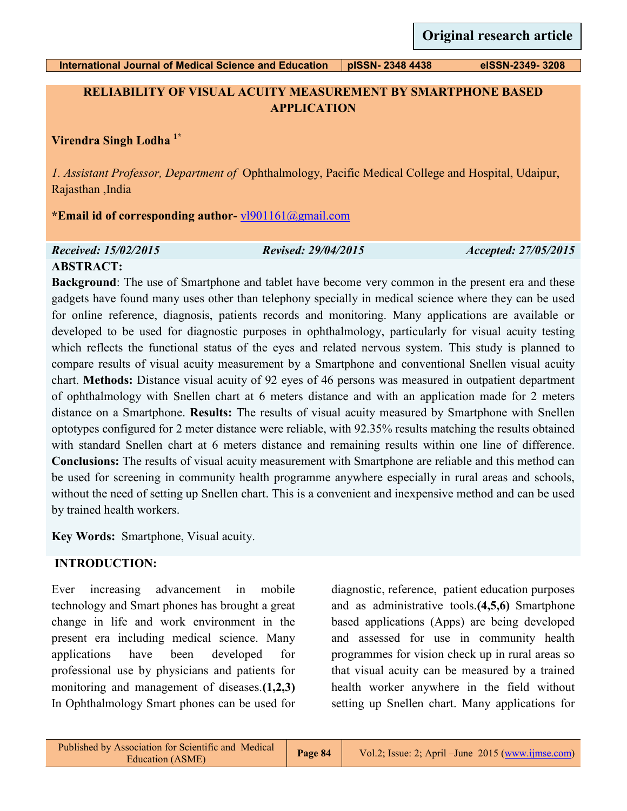# **RELIABILITY OF VISUAL ACUITY MEASUREMENT BY SMARTPHONE BASED APPLICATION**

# **Virendra Singh Lodha 1\***

*1. Assistant Professor, Department of* Ophthalmology, Pacific Medical College and Hospital, Udaipur, Rajasthan ,India

**\*Email id of corresponding author-** [vl901161@gmail.com](mailto:vl901161@gmail.com)

#### *Received: 15/02/2015 Revised: 29/04/2015 Accepted: 27/05/2015*

## **ABSTRACT:**

**Background**: The use of Smartphone and tablet have become very common in the present era and these gadgets have found many uses other than telephony specially in medical science where they can be used for online reference, diagnosis, patients records and monitoring. Many applications are available or developed to be used for diagnostic purposes in ophthalmology, particularly for visual acuity testing which reflects the functional status of the eyes and related nervous system. This study is planned to compare results of visual acuity measurement by a Smartphone and conventional Snellen visual acuity chart. **Methods:** Distance visual acuity of 92 eyes of 46 persons was measured in outpatient department of ophthalmology with Snellen chart at 6 meters distance and with an application made for 2 meters distance on a Smartphone. **Results:** The results of visual acuity measured by Smartphone with Snellen optotypes configured for 2 meter distance were reliable, with 92.35% results matching the results obtained with standard Snellen chart at 6 meters distance and remaining results within one line of difference. **Conclusions:** The results of visual acuity measurement with Smartphone are reliable and this method can be used for screening in community health programme anywhere especially in rural areas and schools, without the need of setting up Snellen chart. This is a convenient and inexpensive method and can be used by trained health workers.

**Key Words:** Smartphone, Visual acuity.

# **INTRODUCTION:**

Ever increasing advancement in mobile technology and Smart phones has brought a great change in life and work environment in the present era including medical science. Many applications have been developed for professional use by physicians and patients for monitoring and management of diseases.**(1,2,3)** In Ophthalmology Smart phones can be used for

diagnostic, reference, patient education purposes and as administrative tools.**(4,5,6)** Smartphone based applications (Apps) are being developed and assessed for use in community health programmes for vision check up in rural areas so that visual acuity can be measured by a trained health worker anywhere in the field without setting up Snellen chart. Many applications for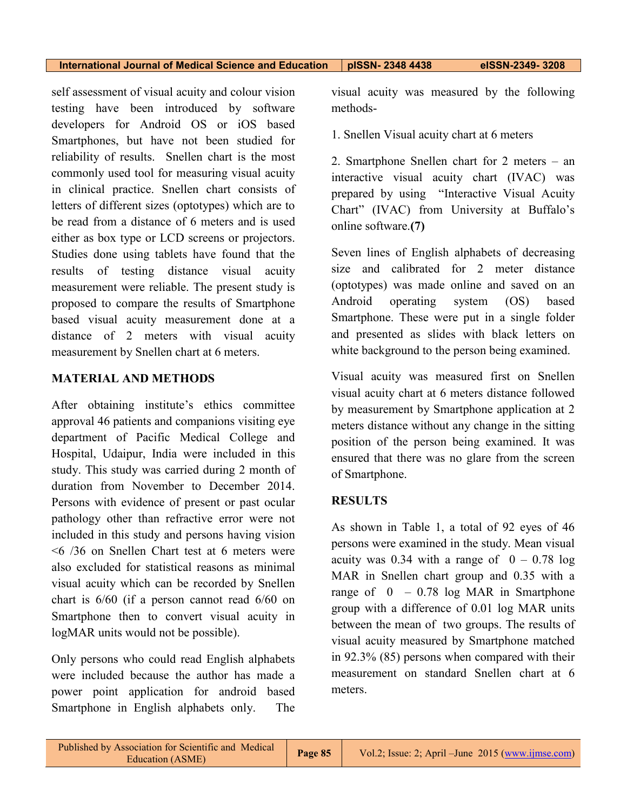self assessment of visual acuity and colour vision testing have been introduced by software developers for Android OS or iOS based Smartphones, but have not been studied for reliability of results. Snellen chart is the most commonly used tool for measuring visual acuity in clinical practice. Snellen chart consists of letters of different sizes (optotypes) which are to be read from a distance of 6 meters and is used either as box type or LCD screens or projectors. Studies done using tablets have found that the results of testing distance visual acuity measurement were reliable. The present study is proposed to compare the results of Smartphone based visual acuity measurement done at a distance of 2 meters with visual acuity measurement by Snellen chart at 6 meters.

## **MATERIAL AND METHODS**

After obtaining institute's ethics committee approval 46 patients and companions visiting eye department of Pacific Medical College and Hospital, Udaipur, India were included in this study. This study was carried during 2 month of duration from November to December 2014. Persons with evidence of present or past ocular pathology other than refractive error were not included in this study and persons having vision <6 /36 on Snellen Chart test at 6 meters were also excluded for statistical reasons as minimal visual acuity which can be recorded by Snellen chart is 6/60 (if a person cannot read 6/60 on Smartphone then to convert visual acuity in logMAR units would not be possible).

Only persons who could read English alphabets were included because the author has made a power point application for android based Smartphone in English alphabets only. The

visual acuity was measured by the following methods-

1. Snellen Visual acuity chart at 6 meters

2. Smartphone Snellen chart for 2 meters – an interactive visual acuity chart (IVAC) was prepared by using "Interactive Visual Acuity Chart" (IVAC) from University at Buffalo's online software.**(7)**

Seven lines of English alphabets of decreasing size and calibrated for 2 meter distance (optotypes) was made online and saved on an Android operating system (OS) based Smartphone. These were put in a single folder and presented as slides with black letters on white background to the person being examined.

Visual acuity was measured first on Snellen visual acuity chart at 6 meters distance followed by measurement by Smartphone application at 2 meters distance without any change in the sitting position of the person being examined. It was ensured that there was no glare from the screen of Smartphone.

# **RESULTS**

As shown in Table 1, a total of 92 eyes of 46 persons were examined in the study. Mean visual acuity was 0.34 with a range of  $0 - 0.78$  log MAR in Snellen chart group and 0.35 with a range of  $0 - 0.78$  log MAR in Smartphone group with a difference of 0.01 log MAR units between the mean of two groups. The results of visual acuity measured by Smartphone matched in 92.3% (85) persons when compared with their measurement on standard Snellen chart at 6 meters.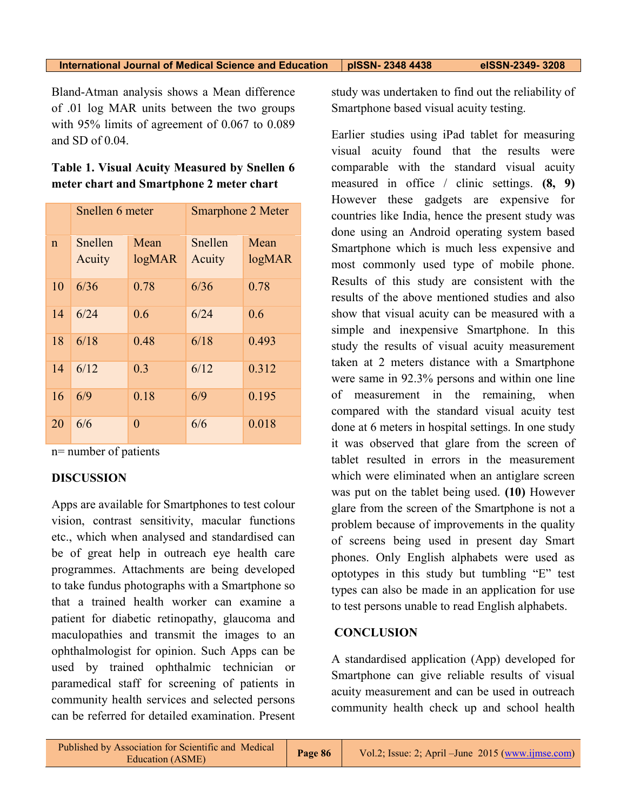Bland-Atman analysis shows a Mean difference of .01 log MAR units between the two groups with 95% limits of agreement of 0.067 to 0.089 and SD of 0.04.

## **Table 1. Visual Acuity Measured by Snellen 6 meter chart and Smartphone 2 meter chart**

|              | Snellen 6 meter |                   | <b>Smarphone 2 Meter</b> |                   |
|--------------|-----------------|-------------------|--------------------------|-------------------|
| $\mathsf{n}$ | Snellen         | Mean              | Snellen                  | Mean              |
|              | Acuity          | log <sub>MR</sub> | Acuity                   | log <sub>MR</sub> |
| 10           | 6/36            | 0.78              | 6/36                     | 0.78              |
| 14           | 6/24            | 0.6               | 6/24                     | 0.6               |
| 18           | 6/18            | 0.48              | 6/18                     | 0.493             |
| 14           | 6/12            | 0.3               | 6/12                     | 0.312             |
| 16           | 6/9             | 0.18              | 6/9                      | 0.195             |
| 20           | 6/6             | $\theta$          | 6/6                      | 0.018             |

n= number of patients

# **DISCUSSION**

Apps are available for Smartphones to test colour vision, contrast sensitivity, macular functions etc., which when analysed and standardised can be of great help in outreach eye health care programmes. Attachments are being developed to take fundus photographs with a Smartphone so that a trained health worker can examine a patient for diabetic retinopathy, glaucoma and maculopathies and transmit the images to an ophthalmologist for opinion. Such Apps can be used by trained ophthalmic technician or paramedical staff for screening of patients in community health services and selected persons can be referred for detailed examination. Present

study was undertaken to find out the reliability of Smartphone based visual acuity testing.

Earlier studies using iPad tablet for measuring visual acuity found that the results were comparable with the standard visual acuity measured in office / clinic settings. **(8, 9)** However these gadgets are expensive for countries like India, hence the present study was done using an Android operating system based Smartphone which is much less expensive and most commonly used type of mobile phone. Results of this study are consistent with the results of the above mentioned studies and also show that visual acuity can be measured with a simple and inexpensive Smartphone. In this study the results of visual acuity measurement taken at 2 meters distance with a Smartphone were same in 92.3% persons and within one line of measurement in the remaining, when compared with the standard visual acuity test done at 6 meters in hospital settings. In one study it was observed that glare from the screen of tablet resulted in errors in the measurement which were eliminated when an antiglare screen was put on the tablet being used. **(10)** However glare from the screen of the Smartphone is not a problem because of improvements in the quality of screens being used in present day Smart phones. Only English alphabets were used as optotypes in this study but tumbling "E" test types can also be made in an application for use to test persons unable to read English alphabets.

#### **CONCLUSION**

A standardised application (App) developed for Smartphone can give reliable results of visual acuity measurement and can be used in outreach community health check up and school health